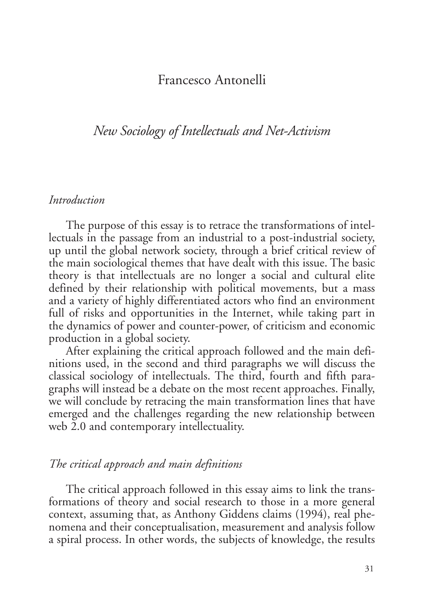# Francesco Antonelli

# *New Sociology of Intellectuals and Net-Activism*

#### *Introduction*

The purpose of this essay is to retrace the transformations of intellectuals in the passage from an industrial to a post-industrial society, up until the global network society, through a brief critical review of the main sociological themes that have dealt with this issue. The basic theory is that intellectuals are no longer a social and cultural elite defined by their relationship with political movements, but a mass and a variety of highly differentiated actors who find an environment full of risks and opportunities in the Internet, while taking part in the dynamics of power and counter-power, of criticism and economic production in a global society.

After explaining the critical approach followed and the main definitions used, in the second and third paragraphs we will discuss the classical sociology of intellectuals. The third, fourth and fifth paragraphs will instead be a debate on the most recent approaches. Finally, we will conclude by retracing the main transformation lines that have emerged and the challenges regarding the new relationship between web 2.0 and contemporary intellectuality.

### *The critical approach and main definitions*

The critical approach followed in this essay aims to link the transformations of theory and social research to those in a more general context, assuming that, as Anthony Giddens claims (1994), real phenomena and their conceptualisation, measurement and analysis follow a spiral process. In other words, the subjects of knowledge, the results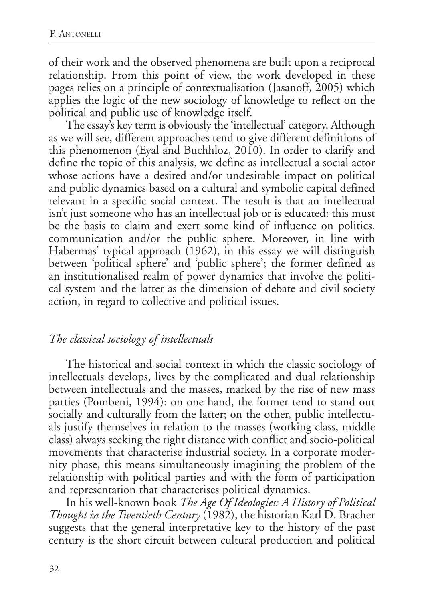of their work and the observed phenomena are built upon a reciprocal relationship. From this point of view, the work developed in these pages relies on a principle of contextualisation (Jasanoff, 2005) which applies the logic of the new sociology of knowledge to reflect on the political and public use of knowledge itself.

The essay's key term is obviously the 'intellectual' category. Although as we will see, different approaches tend to give different definitions of this phenomenon (Eyal and Buchhloz, 2010). In order to clarify and define the topic of this analysis, we define as intellectual a social actor whose actions have a desired and/or undesirable impact on political and public dynamics based on a cultural and symbolic capital defined relevant in a specific social context. The result is that an intellectual isn't just someone who has an intellectual job or is educated: this must be the basis to claim and exert some kind of influence on politics, communication and/or the public sphere. Moreover, in line with Habermas' typical approach (1962), in this essay we will distinguish between 'political sphere' and 'public sphere'; the former defined as an institutionalised realm of power dynamics that involve the political system and the latter as the dimension of debate and civil society action, in regard to collective and political issues.

### *The classical sociology of intellectuals*

The historical and social context in which the classic sociology of intellectuals develops, lives by the complicated and dual relationship between intellectuals and the masses, marked by the rise of new mass parties (Pombeni, 1994): on one hand, the former tend to stand out socially and culturally from the latter; on the other, public intellectuals justify themselves in relation to the masses (working class, middle class) always seeking the right distance with conflict and socio-political movements that characterise industrial society. In a corporate modernity phase, this means simultaneously imagining the problem of the relationship with political parties and with the form of participation and representation that characterises political dynamics.

In his well-known book *The Age Of Ideologies: A History of Political Thought in the Twentieth Century* (1982), the historian Karl D. Bracher suggests that the general interpretative key to the history of the past century is the short circuit between cultural production and political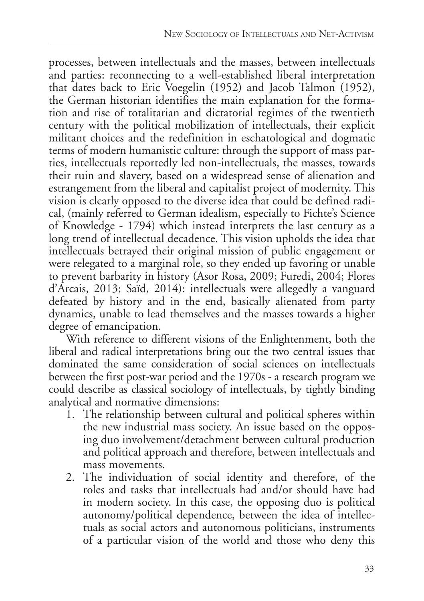processes, between intellectuals and the masses, between intellectuals and parties: reconnecting to a well-established liberal interpretation that dates back to Eric Voegelin (1952) and Jacob Talmon (1952), the German historian identifies the main explanation for the formation and rise of totalitarian and dictatorial regimes of the twentieth century with the political mobilization of intellectuals, their explicit militant choices and the redefinition in eschatological and dogmatic terms of modern humanistic culture: through the support of mass parties, intellectuals reportedly led non-intellectuals, the masses, towards their ruin and slavery, based on a widespread sense of alienation and estrangement from the liberal and capitalist project of modernity. This vision is clearly opposed to the diverse idea that could be defined radical, (mainly referred to German idealism, especially to Fichte's Science of Knowledge - 1794) which instead interprets the last century as a long trend of intellectual decadence. This vision upholds the idea that intellectuals betrayed their original mission of public engagement or were relegated to a marginal role, so they ended up favoring or unable to prevent barbarity in history (Asor Rosa, 2009; Furedi, 2004; Flores d'Arcais, 2013; Saïd, 2014): intellectuals were allegedly a vanguard defeated by history and in the end, basically alienated from party dynamics, unable to lead themselves and the masses towards a higher degree of emancipation.

With reference to different visions of the Enlightenment, both the liberal and radical interpretations bring out the two central issues that dominated the same consideration of social sciences on intellectuals between the first post-war period and the 1970s - a research program we could describe as classical sociology of intellectuals, by tightly binding analytical and normative dimensions:

- 1. The relationship between cultural and political spheres within the new industrial mass society. An issue based on the opposing duo involvement/detachment between cultural production and political approach and therefore, between intellectuals and mass movements.
- 2. The individuation of social identity and therefore, of the roles and tasks that intellectuals had and/or should have had in modern society. In this case, the opposing duo is political autonomy/political dependence, between the idea of intellectuals as social actors and autonomous politicians, instruments of a particular vision of the world and those who deny this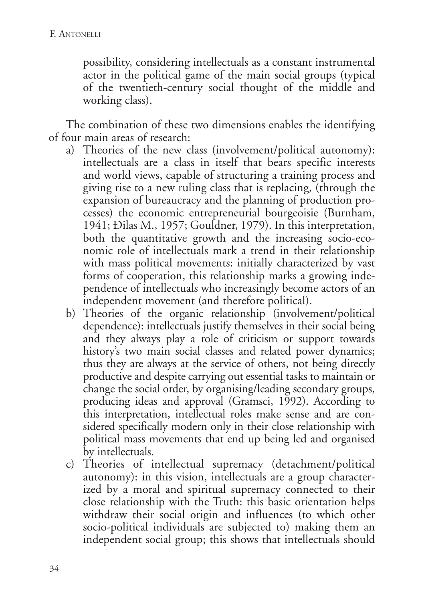possibility, considering intellectuals as a constant instrumental actor in the political game of the main social groups (typical of the twentieth-century social thought of the middle and working class).

The combination of these two dimensions enables the identifying of four main areas of research:

- a) Theories of the new class (involvement/political autonomy): intellectuals are a class in itself that bears specific interests and world views, capable of structuring a training process and giving rise to a new ruling class that is replacing, (through the expansion of bureaucracy and the planning of production processes) the economic entrepreneurial bourgeoisie (Burnham, 1941; Đilas M., 1957; Gouldner, 1979). In this interpretation, both the quantitative growth and the increasing socio-economic role of intellectuals mark a trend in their relationship with mass political movements: initially characterized by vast forms of cooperation, this relationship marks a growing independence of intellectuals who increasingly become actors of an independent movement (and therefore political).
- b) Theories of the organic relationship (involvement/political dependence): intellectuals justify themselves in their social being and they always play a role of criticism or support towards history's two main social classes and related power dynamics; thus they are always at the service of others, not being directly productive and despite carrying out essential tasks to maintain or change the social order, by organising/leading secondary groups, producing ideas and approval (Gramsci, 1992). According to this interpretation, intellectual roles make sense and are considered specifically modern only in their close relationship with political mass movements that end up being led and organised by intellectuals.
- c) Theories of intellectual supremacy (detachment/political autonomy): in this vision, intellectuals are a group characterized by a moral and spiritual supremacy connected to their close relationship with the Truth: this basic orientation helps withdraw their social origin and influences (to which other socio-political individuals are subjected to) making them an independent social group; this shows that intellectuals should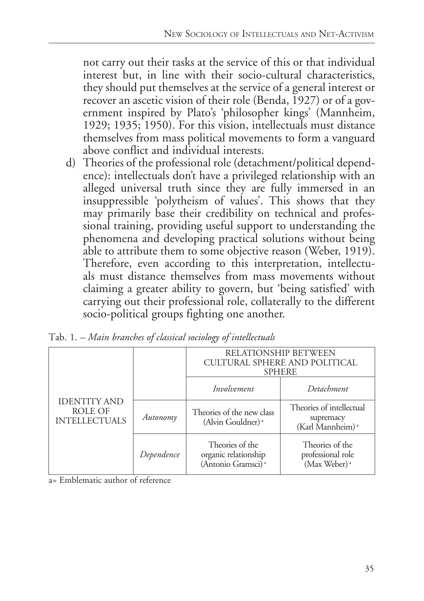not carry out their tasks at the service of this or that individual interest but, in line with their socio-cultural characteristics, they should put themselves at the service of a general interest or recover an ascetic vision of their role (Benda, 1927) or of a government inspired by Plato's 'philosopher kings' (Mannheim, 1929; 1935; 1950). For this vision, intellectuals must distance themselves from mass political movements to form a vanguard above conflict and individual interests.

d) Theories of the professional role (detachment/political dependence): intellectuals don't have a privileged relationship with an alleged universal truth since they are fully immersed in an insuppressible 'polytheism of values'. This shows that they may primarily base their credibility on technical and professional training, providing useful support to understanding the phenomena and developing practical solutions without being able to attribute them to some objective reason (Weber, 1919). Therefore, even according to this interpretation, intellectuals must distance themselves from mass movements without claiming a greater ability to govern, but 'being satisfied' with carrying out their professional role, collaterally to the different socio-political groups fighting one another.

| <b>IDENTITY AND</b><br>ROLE OF<br><b>INTELLECTUALS</b> |            | RELATIONSHIP BETWEEN<br>CULTURAL SPHERE AND POLITICAL<br><b>SPHERE</b>    |                                                                       |
|--------------------------------------------------------|------------|---------------------------------------------------------------------------|-----------------------------------------------------------------------|
|                                                        |            | Involvement                                                               | Detachment                                                            |
|                                                        | Autonomy   | Theories of the new class<br>(Alvin Gouldner) <sup>a</sup>                | Theories of intellectual<br>supremacy<br>(Karl Mannheim) <sup>a</sup> |
|                                                        | Dependence | Theories of the<br>organic relationship<br>(Antonio Gramsci) <sup>a</sup> | Theories of the<br>professional role<br>(Max Weber) <sup>a</sup>      |

Tab. 1. *– Main branches of classical sociology of intellectuals*

a= Emblematic author of reference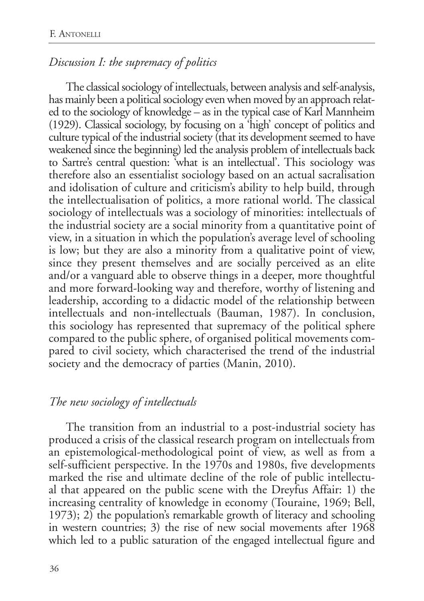## *Discussion I: the supremacy of politics*

The classical sociology of intellectuals, between analysis and self-analysis, has mainly been a political sociology even when moved by an approach related to the sociology of knowledge – as in the typical case of Karl Mannheim (1929). Classical sociology, by focusing on a 'high' concept of politics and culture typical of the industrial society (that its development seemed to have weakened since the beginning) led the analysis problem of intellectuals back to Sartre's central question: 'what is an intellectual'. This sociology was therefore also an essentialist sociology based on an actual sacralisation and idolisation of culture and criticism's ability to help build, through the intellectualisation of politics, a more rational world. The classical sociology of intellectuals was a sociology of minorities: intellectuals of the industrial society are a social minority from a quantitative point of view, in a situation in which the population's average level of schooling is low; but they are also a minority from a qualitative point of view, since they present themselves and are socially perceived as an elite and/or a vanguard able to observe things in a deeper, more thoughtful and more forward-looking way and therefore, worthy of listening and leadership, according to a didactic model of the relationship between intellectuals and non-intellectuals (Bauman, 1987). In conclusion, this sociology has represented that supremacy of the political sphere compared to the public sphere, of organised political movements compared to civil society, which characterised the trend of the industrial society and the democracy of parties (Manin, 2010).

## *The new sociology of intellectuals*

The transition from an industrial to a post-industrial society has produced a crisis of the classical research program on intellectuals from an epistemological-methodological point of view, as well as from a self-sufficient perspective. In the 1970s and 1980s, five developments marked the rise and ultimate decline of the role of public intellectual that appeared on the public scene with the Dreyfus Affair: 1) the increasing centrality of knowledge in economy (Touraine, 1969; Bell, 1973); 2) the population's remarkable growth of literacy and schooling in western countries; 3) the rise of new social movements after 1968 which led to a public saturation of the engaged intellectual figure and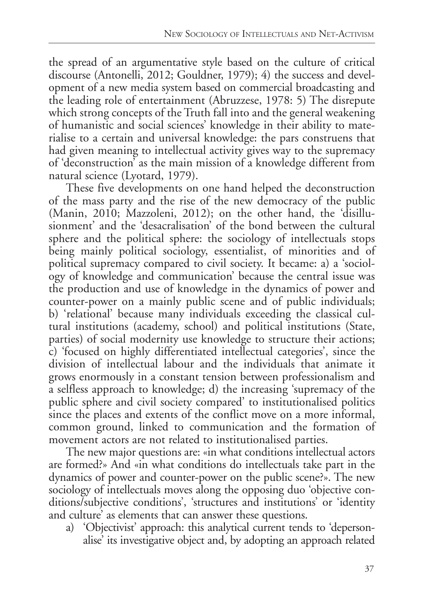the spread of an argumentative style based on the culture of critical discourse (Antonelli, 2012; Gouldner, 1979); 4) the success and development of a new media system based on commercial broadcasting and the leading role of entertainment (Abruzzese, 1978: 5) The disrepute which strong concepts of the Truth fall into and the general weakening of humanistic and social sciences' knowledge in their ability to materialise to a certain and universal knowledge: the pars construens that had given meaning to intellectual activity gives way to the supremacy of 'deconstruction' as the main mission of a knowledge different from natural science (Lyotard, 1979).

These five developments on one hand helped the deconstruction of the mass party and the rise of the new democracy of the public (Manin, 2010; Mazzoleni, 2012); on the other hand, the 'disillusionment' and the 'desacralisation' of the bond between the cultural sphere and the political sphere: the sociology of intellectuals stops being mainly political sociology, essentialist, of minorities and of political supremacy compared to civil society. It became: a) a 'sociology of knowledge and communication' because the central issue was the production and use of knowledge in the dynamics of power and counter-power on a mainly public scene and of public individuals; b) 'relational' because many individuals exceeding the classical cultural institutions (academy, school) and political institutions (State, parties) of social modernity use knowledge to structure their actions; c) 'focused on highly differentiated intellectual categories', since the division of intellectual labour and the individuals that animate it grows enormously in a constant tension between professionalism and a selfless approach to knowledge; d) the increasing 'supremacy of the public sphere and civil society compared' to institutionalised politics since the places and extents of the conflict move on a more informal, common ground, linked to communication and the formation of movement actors are not related to institutionalised parties.

The new major questions are: «in what conditions intellectual actors are formed?» And «in what conditions do intellectuals take part in the dynamics of power and counter-power on the public scene?». The new sociology of intellectuals moves along the opposing duo 'objective conditions/subjective conditions', 'structures and institutions' or 'identity and culture' as elements that can answer these questions.

a) 'Objectivist' approach: this analytical current tends to 'depersonalise' its investigative object and, by adopting an approach related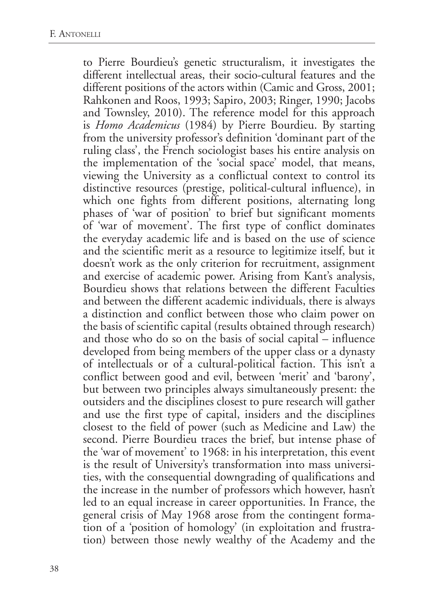to Pierre Bourdieu's genetic structuralism, it investigates the different intellectual areas, their socio-cultural features and the different positions of the actors within (Camic and Gross, 2001; Rahkonen and Roos, 1993; Sapiro, 2003; Ringer, 1990; Jacobs and Townsley, 2010). The reference model for this approach is *Homo Academicus* (1984) by Pierre Bourdieu. By starting from the university professor's definition 'dominant part of the ruling class', the French sociologist bases his entire analysis on the implementation of the 'social space' model, that means, viewing the University as a conflictual context to control its distinctive resources (prestige, political-cultural influence), in which one fights from different positions, alternating long phases of 'war of position' to brief but significant moments of 'war of movement'. The first type of conflict dominates the everyday academic life and is based on the use of science and the scientific merit as a resource to legitimize itself, but it doesn't work as the only criterion for recruitment, assignment and exercise of academic power. Arising from Kant's analysis, Bourdieu shows that relations between the different Faculties and between the different academic individuals, there is always a distinction and conflict between those who claim power on the basis of scientific capital (results obtained through research) and those who do so on the basis of social capital – influence developed from being members of the upper class or a dynasty of intellectuals or of a cultural-political faction. This isn't a conflict between good and evil, between 'merit' and 'barony', but between two principles always simultaneously present: the outsiders and the disciplines closest to pure research will gather and use the first type of capital, insiders and the disciplines closest to the field of power (such as Medicine and Law) the second. Pierre Bourdieu traces the brief, but intense phase of the 'war of movement' to 1968: in his interpretation, this event is the result of University's transformation into mass universities, with the consequential downgrading of qualifications and the increase in the number of professors which however, hasn't led to an equal increase in career opportunities. In France, the general crisis of May 1968 arose from the contingent formation of a 'position of homology' (in exploitation and frustration) between those newly wealthy of the Academy and the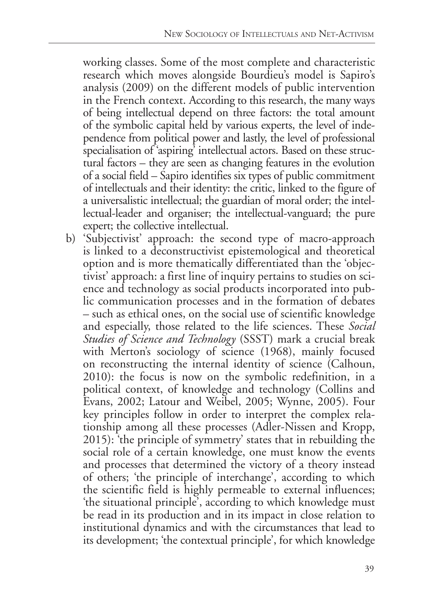working classes. Some of the most complete and characteristic research which moves alongside Bourdieu's model is Sapiro's analysis (2009) on the different models of public intervention in the French context. According to this research, the many ways of being intellectual depend on three factors: the total amount of the symbolic capital held by various experts, the level of independence from political power and lastly, the level of professional specialisation of 'aspiring' intellectual actors. Based on these structural factors – they are seen as changing features in the evolution of a social field – Sapiro identifies six types of public commitment of intellectuals and their identity: the critic, linked to the figure of a universalistic intellectual; the guardian of moral order; the intellectual-leader and organiser; the intellectual-vanguard; the pure expert; the collective intellectual.

b) 'Subjectivist' approach: the second type of macro-approach is linked to a deconstructivist epistemological and theoretical option and is more thematically differentiated than the 'objectivist' approach: a first line of inquiry pertains to studies on science and technology as social products incorporated into public communication processes and in the formation of debates – such as ethical ones, on the social use of scientific knowledge and especially, those related to the life sciences. These *Social Studies of Science and Technology* (SSST) mark a crucial break with Merton's sociology of science (1968), mainly focused on reconstructing the internal identity of science (Calhoun, 2010): the focus is now on the symbolic redefinition, in a political context, of knowledge and technology (Collins and Evans, 2002; Latour and Weibel, 2005; Wynne, 2005). Four key principles follow in order to interpret the complex relationship among all these processes (Adler-Nissen and Kropp, 2015): 'the principle of symmetry' states that in rebuilding the social role of a certain knowledge, one must know the events and processes that determined the victory of a theory instead of others; 'the principle of interchange', according to which the scientific field is highly permeable to external influences; 'the situational principle', according to which knowledge must be read in its production and in its impact in close relation to institutional dynamics and with the circumstances that lead to its development; 'the contextual principle', for which knowledge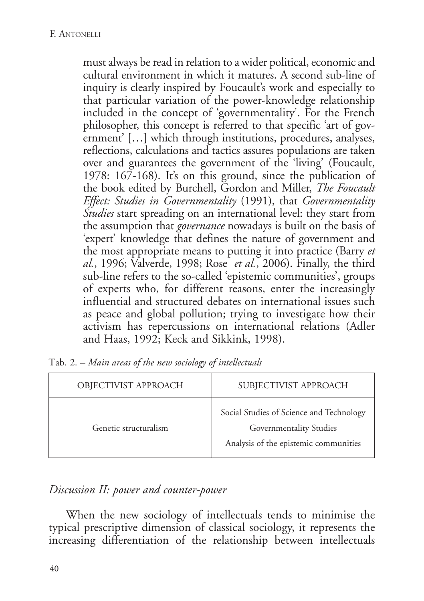must always be read in relation to a wider political, economic and cultural environment in which it matures. A second sub-line of inquiry is clearly inspired by Foucault's work and especially to that particular variation of the power-knowledge relationship included in the concept of 'governmentality'. For the French philosopher, this concept is referred to that specific 'art of government' […] which through institutions, procedures, analyses, reflections, calculations and tactics assures populations are taken over and guarantees the government of the 'living' (Foucault, 1978: 167-168). It's on this ground, since the publication of the book edited by Burchell, Gordon and Miller, *The Foucault Effect: Studies in Governmentality* (1991), that *Governmentality Studies* start spreading on an international level: they start from the assumption that *governance* nowadays is built on the basis of 'expert' knowledge that defines the nature of government and the most appropriate means to putting it into practice (Barry *et al.*, 1996; Valverde, 1998; Rose *et al.*, 2006). Finally, the third sub-line refers to the so-called 'epistemic communities', groups of experts who, for different reasons, enter the increasingly influential and structured debates on international issues such as peace and global pollution; trying to investigate how their activism has repercussions on international relations (Adler and Haas, 1992; Keck and Sikkink, 1998).

| OBJECTIVIST APPROACH  | SUBJECTIVIST APPROACH                                                                                        |  |
|-----------------------|--------------------------------------------------------------------------------------------------------------|--|
| Genetic structuralism | Social Studies of Science and Technology<br>Governmentality Studies<br>Analysis of the epistemic communities |  |

Tab. 2. *– Main areas of the new sociology of intellectuals*

## *Discussion II: power and counter-power*

When the new sociology of intellectuals tends to minimise the typical prescriptive dimension of classical sociology, it represents the increasing differentiation of the relationship between intellectuals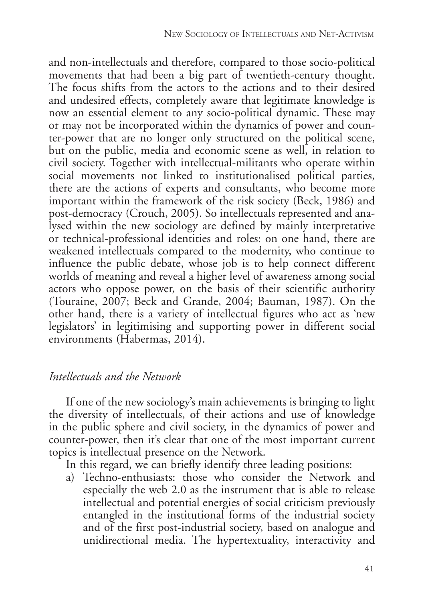and non-intellectuals and therefore, compared to those socio-political movements that had been a big part of twentieth-century thought. The focus shifts from the actors to the actions and to their desired and undesired effects, completely aware that legitimate knowledge is now an essential element to any socio-political dynamic. These may or may not be incorporated within the dynamics of power and counter-power that are no longer only structured on the political scene, but on the public, media and economic scene as well, in relation to civil society. Together with intellectual-militants who operate within social movements not linked to institutionalised political parties, there are the actions of experts and consultants, who become more important within the framework of the risk society (Beck, 1986) and post-democracy (Crouch, 2005). So intellectuals represented and analysed within the new sociology are defined by mainly interpretative or technical-professional identities and roles: on one hand, there are weakened intellectuals compared to the modernity, who continue to influence the public debate, whose job is to help connect different worlds of meaning and reveal a higher level of awareness among social actors who oppose power, on the basis of their scientific authority (Touraine, 2007; Beck and Grande, 2004; Bauman, 1987). On the other hand, there is a variety of intellectual figures who act as 'new legislators' in legitimising and supporting power in different social environments (Habermas, 2014).

## *Intellectuals and the Network*

If one of the new sociology's main achievements is bringing to light the diversity of intellectuals, of their actions and use of knowledge in the public sphere and civil society, in the dynamics of power and counter-power, then it's clear that one of the most important current topics is intellectual presence on the Network.

In this regard, we can briefly identify three leading positions:

a) Techno-enthusiasts: those who consider the Network and especially the web 2.0 as the instrument that is able to release intellectual and potential energies of social criticism previously entangled in the institutional forms of the industrial society and of the first post-industrial society, based on analogue and unidirectional media. The hypertextuality, interactivity and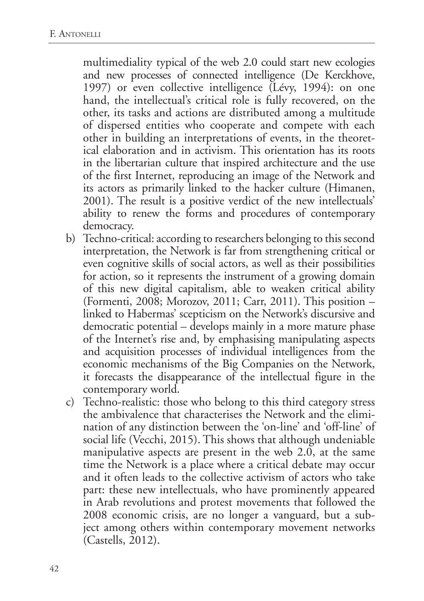multimediality typical of the web 2.0 could start new ecologies and new processes of connected intelligence (De Kerckhove, 1997) or even collective intelligence (Lévy, 1994): on one hand, the intellectual's critical role is fully recovered, on the other, its tasks and actions are distributed among a multitude of dispersed entities who cooperate and compete with each other in building an interpretations of events, in the theoretical elaboration and in activism. This orientation has its roots in the libertarian culture that inspired architecture and the use of the first Internet, reproducing an image of the Network and its actors as primarily linked to the hacker culture (Himanen, 2001). The result is a positive verdict of the new intellectuals' ability to renew the forms and procedures of contemporary democracy.

- b) Techno-critical: according to researchers belonging to this second interpretation, the Network is far from strengthening critical or even cognitive skills of social actors, as well as their possibilities for action, so it represents the instrument of a growing domain of this new digital capitalism, able to weaken critical ability (Formenti, 2008; Morozov, 2011; Carr, 2011). This position – linked to Habermas' scepticism on the Network's discursive and democratic potential  $-$  develops mainly in a more mature phase of the Internet's rise and, by emphasising manipulating aspects and acquisition processes of individual intelligences from the economic mechanisms of the Big Companies on the Network, it forecasts the disappearance of the intellectual figure in the contemporary world.
- c) Techno-realistic: those who belong to this third category stress the ambivalence that characterises the Network and the elimination of any distinction between the 'on-line' and 'off-line' of social life (Vecchi, 2015). This shows that although undeniable manipulative aspects are present in the web 2.0, at the same time the Network is a place where a critical debate may occur and it often leads to the collective activism of actors who take part: these new intellectuals, who have prominently appeared in Arab revolutions and protest movements that followed the 2008 economic crisis, are no longer a vanguard, but a subject among others within contemporary movement networks (Castells, 2012).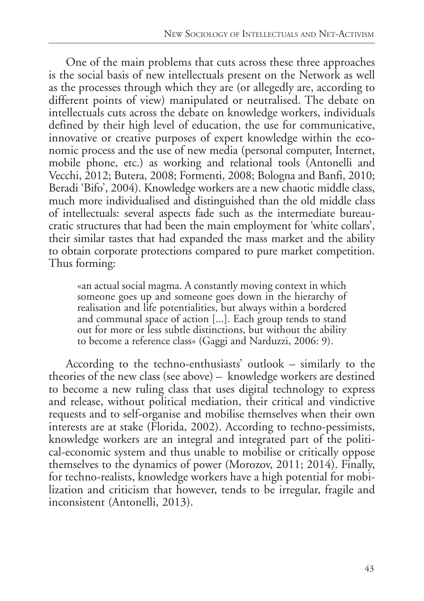One of the main problems that cuts across these three approaches is the social basis of new intellectuals present on the Network as well as the processes through which they are (or allegedly are, according to different points of view) manipulated or neutralised. The debate on intellectuals cuts across the debate on knowledge workers, individuals defined by their high level of education, the use for communicative, innovative or creative purposes of expert knowledge within the economic process and the use of new media (personal computer, Internet, mobile phone, etc.) as working and relational tools (Antonelli and Vecchi, 2012; Butera, 2008; Formenti, 2008; Bologna and Banfi, 2010; Beradi 'Bifo', 2004). Knowledge workers are a new chaotic middle class, much more individualised and distinguished than the old middle class of intellectuals: several aspects fade such as the intermediate bureaucratic structures that had been the main employment for 'white collars', their similar tastes that had expanded the mass market and the ability to obtain corporate protections compared to pure market competition. Thus forming:

«an actual social magma. A constantly moving context in which someone goes up and someone goes down in the hierarchy of realisation and life potentialities, but always within a bordered and communal space of action [...]. Each group tends to stand out for more or less subtle distinctions, but without the ability to become a reference class» (Gaggi and Narduzzi, 2006: 9).

According to the techno-enthusiasts' outlook – similarly to the theories of the new class (see above) – knowledge workers are destined to become a new ruling class that uses digital technology to express and release, without political mediation, their critical and vindictive requests and to self-organise and mobilise themselves when their own interests are at stake (Florida, 2002). According to techno-pessimists, knowledge workers are an integral and integrated part of the political-economic system and thus unable to mobilise or critically oppose themselves to the dynamics of power (Morozov, 2011; 2014). Finally, for techno-realists, knowledge workers have a high potential for mobilization and criticism that however, tends to be irregular, fragile and inconsistent (Antonelli, 2013).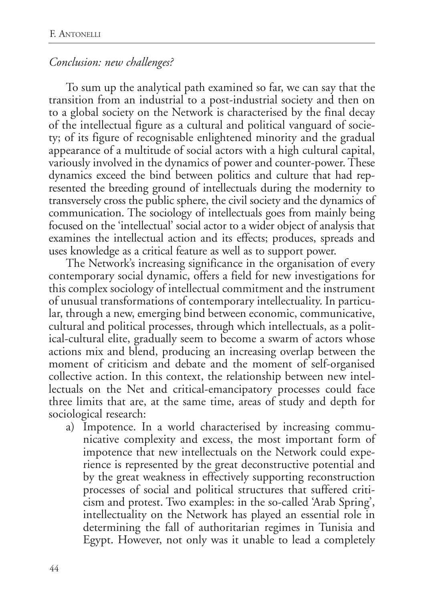### *Conclusion: new challenges?*

To sum up the analytical path examined so far, we can say that the transition from an industrial to a post-industrial society and then on to a global society on the Network is characterised by the final decay of the intellectual figure as a cultural and political vanguard of society; of its figure of recognisable enlightened minority and the gradual appearance of a multitude of social actors with a high cultural capital, variously involved in the dynamics of power and counter-power. These dynamics exceed the bind between politics and culture that had represented the breeding ground of intellectuals during the modernity to transversely cross the public sphere, the civil society and the dynamics of communication. The sociology of intellectuals goes from mainly being focused on the 'intellectual' social actor to a wider object of analysis that examines the intellectual action and its effects; produces, spreads and uses knowledge as a critical feature as well as to support power.

The Network's increasing significance in the organisation of every contemporary social dynamic, offers a field for new investigations for this complex sociology of intellectual commitment and the instrument of unusual transformations of contemporary intellectuality. In particular, through a new, emerging bind between economic, communicative, cultural and political processes, through which intellectuals, as a political-cultural elite, gradually seem to become a swarm of actors whose actions mix and blend, producing an increasing overlap between the moment of criticism and debate and the moment of self-organised collective action. In this context, the relationship between new intellectuals on the Net and critical-emancipatory processes could face three limits that are, at the same time, areas of study and depth for sociological research:

a) Impotence. In a world characterised by increasing communicative complexity and excess, the most important form of impotence that new intellectuals on the Network could experience is represented by the great deconstructive potential and by the great weakness in effectively supporting reconstruction processes of social and political structures that suffered criticism and protest. Two examples: in the so-called 'Arab Spring', intellectuality on the Network has played an essential role in determining the fall of authoritarian regimes in Tunisia and Egypt. However, not only was it unable to lead a completely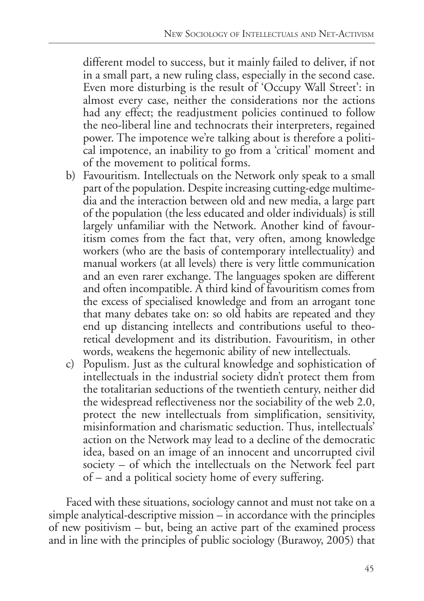different model to success, but it mainly failed to deliver, if not in a small part, a new ruling class, especially in the second case. Even more disturbing is the result of 'Occupy Wall Street': in almost every case, neither the considerations nor the actions had any effect; the readjustment policies continued to follow the neo-liberal line and technocrats their interpreters, regained power. The impotence we're talking about is therefore a political impotence, an inability to go from a 'critical' moment and of the movement to political forms.

- b) Favouritism. Intellectuals on the Network only speak to a small part of the population. Despite increasing cutting-edge multimedia and the interaction between old and new media, a large part of the population (the less educated and older individuals) is still largely unfamiliar with the Network. Another kind of favouritism comes from the fact that, very often, among knowledge workers (who are the basis of contemporary intellectuality) and manual workers (at all levels) there is very little communication and an even rarer exchange. The languages spoken are different and often incompatible. A third kind of favouritism comes from the excess of specialised knowledge and from an arrogant tone that many debates take on: so old habits are repeated and they end up distancing intellects and contributions useful to theoretical development and its distribution. Favouritism, in other words, weakens the hegemonic ability of new intellectuals.
- c) Populism. Just as the cultural knowledge and sophistication of intellectuals in the industrial society didn't protect them from the totalitarian seductions of the twentieth century, neither did the widespread reflectiveness nor the sociability of the web 2.0, protect the new intellectuals from simplification, sensitivity, misinformation and charismatic seduction. Thus, intellectuals' action on the Network may lead to a decline of the democratic idea, based on an image of an innocent and uncorrupted civil society – of which the intellectuals on the Network feel part of – and a political society home of every suffering.

Faced with these situations, sociology cannot and must not take on a simple analytical-descriptive mission – in accordance with the principles of new positivism – but, being an active part of the examined process and in line with the principles of public sociology (Burawoy, 2005) that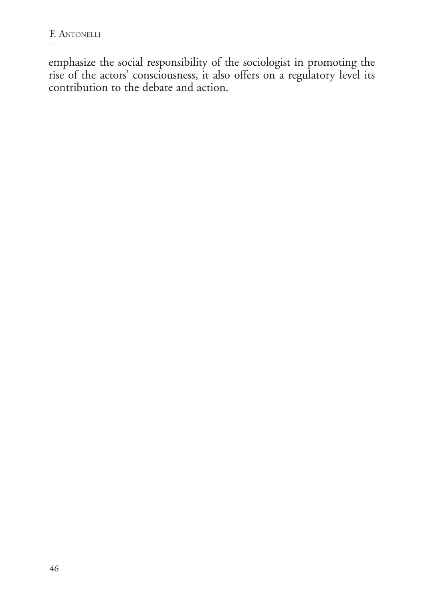emphasize the social responsibility of the sociologist in promoting the rise of the actors' consciousness, it also offers on a regulatory level its contribution to the debate and action.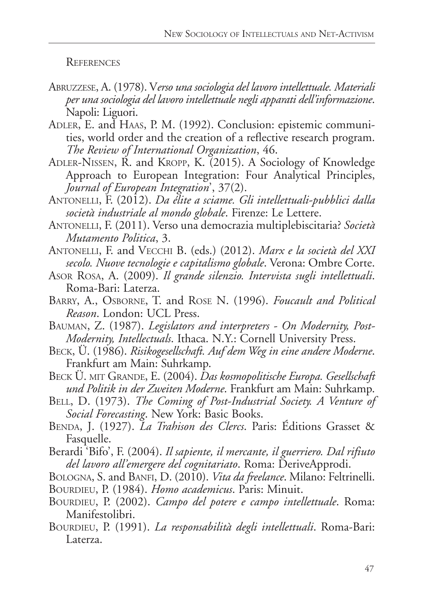**REFERENCES** 

- Abruzzese, A. (1978). V*erso una sociologia del lavoro intellettuale. Materiali per una sociologia del lavoro intellettuale negli apparati dell'informazione*. Napoli: Liguori.
- Adler, E. and Haas, P. M. (1992). Conclusion: epistemic communities, world order and the creation of a reflective research program. *The Review of International Organization*, 46.
- Adler-Nissen, R. and Kropp, K. (2015). A Sociology of Knowledge Approach to European Integration: Four Analytical Principles, *Journal of European Integration*', 37(2).
- Antonelli, F. (2012). *Da élite a sciame. Gli intellettuali-pubblici dalla società industriale al mondo globale*. Firenze: Le Lettere.
- Antonelli, F. (2011). Verso una democrazia multiplebiscitaria? *Società Mutamento Politica*, 3.
- Antonelli, F. and Vecchi B. (eds.) (2012). *Marx e la società del XXI secolo. Nuove tecnologie e capitalismo globale*. Verona: Ombre Corte.
- Asor Rosa, A. (2009). *Il grande silenzio. Intervista sugli intellettuali*. Roma-Bari: Laterza.
- Barry, A., Osborne, T. and Rose N. (1996). *Foucault and Political Reason*. London: UCL Press.
- Bauman, Z. (1987). *Legislators and interpreters On Modernity, Post-Modernity, Intellectuals*. Ithaca. N.Y.: Cornell University Press.
- Beck, Ü. (1986). *Risikogesellschaft. Auf dem Weg in eine andere Moderne*. Frankfurt am Main: Suhrkamp.
- Beck Ü. mit Grande, E. (2004). *Das kosmopolitische Europa. Gesellschaft und Politik in der Zweiten Moderne*. Frankfurt am Main: Suhrkamp.
- Bell, D. (1973). *The Coming of Post-Industrial Society. A Venture of Social Forecasting*. New York: Basic Books.
- BENDA, J. (1927). La Trahison des Clercs. Paris: Éditions Grasset & Fasquelle.
- Berardi 'Bifo', F. (2004). *Il sapiente, il mercante, il guerriero. Dal rifiuto del lavoro all'emergere del cognitariato*. Roma: DeriveApprodi.
- BOLOGNA, S. and BANFI, D. (2010). *Vita da freelance*. Milano: Feltrinelli. BOURDIEU, P. (1984). *Homo academicus*. Paris: Minuit.
- BOURDIEU, P. (2002). *Campo del potere e campo intellettuale*. Roma: Manifestolibri.
- Bourdieu, P. (1991). *La responsabilità degli intellettuali*. Roma-Bari: Laterza.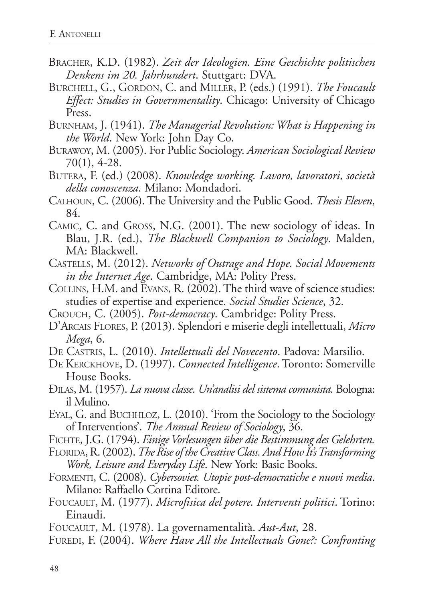- Bracher, K.D. (1982). *Zeit der Ideologien. Eine Geschichte politischen Denkens im 20. Jahrhundert*. Stuttgart: DVA.
- Burchell, G., Gordon, C. and Miller, P. (eds.) (1991). *The Foucault Effect: Studies in Governmentality*. Chicago: University of Chicago Press.
- Burnham, J. (1941). *The Managerial Revolution: What is Happening in the World*. New York: John Day Co.
- Burawoy, M. (2005). For Public Sociology. *American Sociological Review* 70(1), 4-28.
- Butera, F. (ed.) (2008). *Knowledge working. Lavoro, lavoratori, società della conoscenza*. Milano: Mondadori.
- Calhoun, C. (2006). The University and the Public Good. *Thesis Eleven*, 84.
- Camic, C. and Gross, N.G. (2001). The new sociology of ideas. In Blau, J.R. (ed.), *The Blackwell Companion to Sociology*. Malden, MA: Blackwell.
- Castells, M. (2012). *Networks of Outrage and Hope. Social Movements in the Internet Age*. Cambridge, MA: Polity Press.
- Collins, H.M. and Evans, R. (2002). The third wave of science studies: studies of expertise and experience. *Social Studies Science*, 32.
- Crouch, C. (2005). *Post-democracy*. Cambridge: Polity Press.
- D'Arcais Flores, P. (2013). Splendori e miserie degli intellettuali, *Micro Mega*, 6.
- De Castris, L. (2010). *Intellettuali del Novecento*. Padova: Marsilio.
- De Kerckhove, D. (1997). *Connected Intelligence*. Toronto: Somerville House Books.
- Đilas, M. (1957). *La nuova classe. Un'analisi del sistema comunista.* Bologna: il Mulino.
- Eyal, G. and Buchhloz, L. (2010). 'From the Sociology to the Sociology of Interventions'. *The Annual Review of Sociology*, 36.
- Fichte, J.G. (1794). *Einige Vorlesungen über die Bestimmung des Gelehrten.*
- Florida, R. (2002). *The Rise of the Creative Class. And How It's Transforming Work, Leisure and Everyday Life*. New York: Basic Books.
- Formenti, C. (2008). *Cybersoviet. Utopie post-democratiche e nuovi media*. Milano: Raffaello Cortina Editore.
- Foucault, M. (1977). *Microfisica del potere. Interventi politici*. Torino: Einaudi.
- Foucault, M. (1978). La governamentalità. *Aut-Aut*, 28.
- Furedi, F. (2004). *Where Have All the Intellectuals Gone?: Confronting*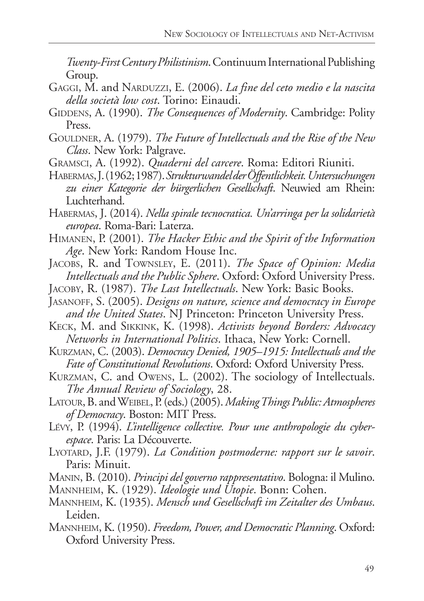*Twenty-First Century Philistinism*. Continuum International Publishing Group.

- GAGGI, M. and NARDUZZI, E. (2006). *La fine del ceto medio e la nascita della società low cost*. Torino: Einaudi.
- GIDDENS, A. (1990). *The Consequences of Modernity*. Cambridge: Polity Press.
- GOULDNER, A. (1979). *The Future of Intellectuals and the Rise of the New Class*. New York: Palgrave.
- Gramsci, A. (1992). *Quaderni del carcere*. Roma: Editori Riuniti.
- Habermas, J. (1962; 1987). *Strukturwandel der Öffentlichkeit. Untersuchungen zu einer Kategorie der bürgerlichen Gesellschaft*. Neuwied am Rhein: Luchterhand.
- Habermas, J. (2014). *Nella spirale tecnocratica. Un'arringa per la solidarietà europea*. Roma-Bari: Laterza.
- Himanen, P. (2001). *The Hacker Ethic and the Spirit of the Information Age*. New York: Random House Inc.
- Jacobs, R. and Townsley, E. (2011). *The Space of Opinion: Media Intellectuals and the Public Sphere*. Oxford: Oxford University Press.
- Jacoby, R. (1987). *The Last Intellectuals*. New York: Basic Books.
- JASANOFF, S. (2005). *Designs on nature, science and democracy in Europe and the United States*. NJ Princeton: Princeton University Press.
- Keck, M. and Sikkink, K. (1998). *Activists beyond Borders: Advocacy Networks in International Politics*. Ithaca, New York: Cornell.
- Kurzman, C. (2003). *Democracy Denied, 1905–1915: Intellectuals and the Fate of Constitutional Revolutions*. Oxford: Oxford University Press.
- Kurzman, C. and Owens, L. (2002). The sociology of Intellectuals. *The Annual Review of Sociology*, 28.
- Latour, B. and Weibel, P. (eds.) (2005). *Making Things Public: Atmospheres of Democracy*. Boston: MIT Press.
- Lévy, P. (1994). *L'intelligence collective. Pour une anthropologie du cyberespace*. Paris: La Découverte.
- Lyotard, J.F. (1979). *La Condition postmoderne: rapport sur le savoir*. Paris: Minuit.
- Manin, B. (2010). *Principi del governo rappresentativo*. Bologna: il Mulino.
- Mannheim, K. (1929). *Ideologie und Utopie*. Bonn: Cohen.
- Mannheim, K. (1935). *Mensch und Gesellschaft im Zeitalter des Umbaus*. Leiden.
- Mannheim, K. (1950). *Freedom, Power, and Democratic Planning*. Oxford: Oxford University Press.